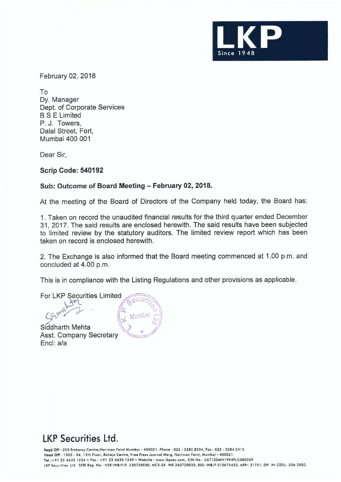

February 02, 2018

To Dy. Manager Dept. of Corporate Services BS E Limited P. J. Towers, Dalal Street, Fort, Mumbai 400 001

Dear Sir,

**Scrip Code: 540192** 

## **Sub: Outcome of Board Meeting - February 02, 2018.**

At the meeting of the Board of Directors of the Company held today, the Board has:

1. Taken on record the unaudited financial results for the third quarter ended December 31, 2017. The said results are enclosed herewith. The said results have been subjected to limited review by the statutory auditors. The limited review report which has been taken on record is enclosed herewith.

2. The Exchange is also informed that the Board meeting commenced at 1.00 p.m. and concluded at 4.00 p.m.

This is in compliance with the Listing Regulations and other provisions as applicable.

For LKP Securities Limited **Collection** 

Siddharth Mehta<br>Asst. Company Secretary Encl: a/a



## **LKP Securities Ltd.**<br>Regd Off : 203 Embassy Centre,Nariman Point Mumboi - 400021. Phone : 022 - 2282 8234, Fax : 022 - 2284 2415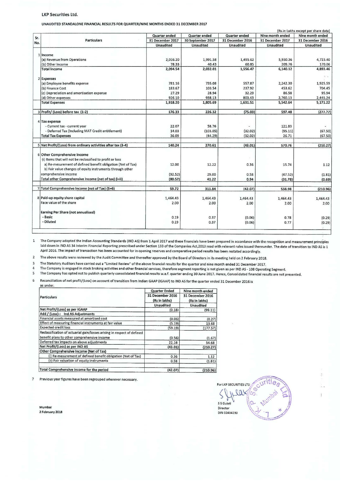## **LKP** Securities **Ltd.**

UNAUDITED STANDALONE FINANCIAL RESULTS FOR QUARTER/NINE MONTHS ENDED 31 DECEMBER 2017

|     |                                                              |                  |                   |                  |                  | (Rs.in Lakhs except per share data) |  |
|-----|--------------------------------------------------------------|------------------|-------------------|------------------|------------------|-------------------------------------|--|
| Sr. | <b>Particulars</b>                                           | Quarter ended    | Quarter ended     | Quarter ended    | Nine month ended | Nine month ended                    |  |
| No. |                                                              | 31 December 2017 | 30 September 2017 | 31 December 2016 | 31 December 2017 | 31 December 2016                    |  |
|     |                                                              | Unaudited        | Unaudited         | Unaudited        | <b>Unaudited</b> | Unaudited                           |  |
|     | 1 Income                                                     |                  |                   |                  |                  |                                     |  |
|     | (a) Revenue from Operations                                  | 2,016.20         | 1,991.58          | 1,495.62         | 5,930.36         | 4,723.40                            |  |
|     | (b) Other Income                                             | 78.33            | 40.43             | 60.85            | 209.76           | 170.06                              |  |
|     | <b>Total income</b>                                          | 2,094.54         | 2,032.01          | 1,556.47         | 6,140.12         | 4,893.46                            |  |
|     | 2 Expenses                                                   |                  |                   |                  |                  | $\mathcal{G}=\mathcal{G}$           |  |
|     | (a) Employee benefits expense                                | 781.16           | 735.08            | 557.87           | 2,242.30         | 1,925.59                            |  |
|     | (b) Finance Cost                                             | 183.67           | 103.54            | 237.92           | 453.62           | 704.45                              |  |
|     | (c) Depreciation and amortisation expense                    | 27.29            | 28.94             | 32.29            | 86.58            | 95.94                               |  |
|     | (d) Other expenses                                           | 926.10           | 938.13            | 803.43           | 2,760.13         | 2,445.24                            |  |
|     | <b>Total Expenses</b>                                        | 1,918.20         | 1,805.69          | 1,631.51         | 5,542.64         | 5,171.22                            |  |
|     |                                                              |                  |                   |                  |                  |                                     |  |
|     | 3 Profit/ (Loss) before tax (1-2)                            | 176.33           | 226.32            | (75.03)          | 597.48           | (277.77)                            |  |
|     |                                                              |                  |                   |                  |                  |                                     |  |
|     | 4 Tax expense                                                |                  |                   |                  |                  |                                     |  |
|     | - Current tax - current year                                 | 22.07            | 58.76             | ٠                | 121.83           |                                     |  |
|     | - Deferred Tax (Including MAT Credit entitlement)            | 14.03            | (103.05)          | (32.02)          | (95.11)          | (67.50)                             |  |
|     | <b>Total Tax Expenses</b>                                    | 36.09            | (44.29)           | (32.02)          | 26.71            | (67.50)                             |  |
|     | 5 Net Profit/(Loss) from ordinary activities after tax (3-4) | 140.24           | 270.61            | (43.01)          | 570.76           | (210.27)                            |  |
|     | 6 Other Comprehensive Income                                 |                  |                   |                  |                  |                                     |  |
|     | (i) Items that will not be reclassified to profit or loss    |                  |                   | $\overline{E}$   |                  |                                     |  |
|     | a) Re-mesurement of defined benefit obligation (Net of Tax)  | 12.00            | 12.22             | 0.36             | 15.74            | 1.12                                |  |
|     | b) Fair value changes of equity instruments through other    |                  |                   |                  |                  |                                     |  |
|     | comprehensive income                                         | (92.52)          | 29.00             | 0.58             | (47.52)          | (1.81)                              |  |
|     | Total other Comprehensive Income (net of tax) (i+ii)         | (80.52)          | 41.22             | 0.94             | (31.78)          | (0.69)                              |  |
|     |                                                              |                  |                   |                  |                  |                                     |  |
|     | 7 Total Comprehensive Income (net of Tax) (5+6)              | 59.72            | 311.84            | (42.07)          | 538.98           | (210.96)                            |  |
|     |                                                              |                  |                   |                  |                  |                                     |  |
|     | 8 Paid-up equity share capital                               | 1,464.43         | 1,464.43          | 1,464.43         | 1,464.43         | 1,464.43                            |  |
|     | Face value of the share                                      | 2.00             | 2.00              | 2.00             | 2.00             | 2.00                                |  |
|     | Earning Per Share (not annualised)                           |                  |                   |                  |                  |                                     |  |
|     | - Basic                                                      | 0.19             | 0.37              | (0.06)           | 0.78             | (0.29)                              |  |
|     | - Diluted                                                    | 0.19             | 0.37              | (0.06)           | 0.77             | (0.29)                              |  |
|     |                                                              |                  |                   |                  |                  |                                     |  |

The Company adopted the Indian Accounting Standards (IND AS) from 1 April 2017 and these financials have been prepared in accordance with the recognition and measurement principles laid down in IND AS 34 Interim Financial Reporting prescribed under Section 133 of the Companies Act,2013 read with relevant rules issued thereunder. The date of transition to IND AS is 1 April 2016. The impact of transaction has been accounted for in opening reserves and comparative period results has been restated accordingly.

2 The above results were reviewed by the Audit Committee and thereafter approved by the Board of Directors in its meeting held on 2 February 2018.

3 The Statutory Auditors have carried out a "Limited Review" of the above financial results for the quarter and nine month ended 31 December 2017.<br>4 The Company is engaged in stock broking activities and other financial se

4 The Company is engaged in stock broking activities and other financial services, therefore segment reporting is not given as per IND AS - 108 Operating Segment. 5 The Company has opted not to publish quarterly consolidated financial results w.e.f. quarter ending 30 June 2017. Hence, Consolidated financial results are not presented.

6 Reconciliation of net profit/(Loss) on account of transition from Indian GAAP (IGAAP) to IND AS for the quarter ended 31 December 2016 is **as under** 

|                                                                         | <b>Quarter Ended</b>              |                                   |  |
|-------------------------------------------------------------------------|-----------------------------------|-----------------------------------|--|
| <b>Particulars</b>                                                      | 31 December 2016<br>(Rs in lakhs) | 31 December 2016<br>(Rs in lakhs) |  |
|                                                                         | <b>Unaudited</b>                  | <b>Unaudited</b>                  |  |
| Net Profit/(Loss) as per IGAAP                                          | (0.18)                            | (99.11)                           |  |
| Add / (Less)-: Ind AS Adjustments                                       |                                   |                                   |  |
| Financial assets measured at amortised cost                             | (0.05)                            | (0.27)                            |  |
| Effect of measuring financial instruments at fair value                 | (5.19)                            | 13.68                             |  |
| <b>Expected credit loss</b>                                             | (59.19)                           | (177.57)                          |  |
| Reclassification of actuarial gain/losses arising in respect of defined |                                   |                                   |  |
| benefit plans to other comprehensive income                             | (0.56)                            | (1.67)                            |  |
| Deferred tax impacts on above adjustments                               | 22.16                             | 54.68                             |  |
| Net Profit/(Loss) as per IND AS                                         | (43.01)                           | (210.27)                          |  |
| Other Comprehensive Income (Net of Tax)                                 |                                   |                                   |  |
| (i) Re-mesurement of defined benefit obligation (Net of Tax)            | 0.36                              | 1.12                              |  |
| (ii) Fair valuation of equity instruments                               | 0.58                              | (1.81)                            |  |
| Total Comprehensive income for the period                               | (42.07)                           | (210.96)                          |  |

**7 Previous year figures have been regrouped wherever necessary.** 

For LKP SECURITIES LTD CUTILIES  $\begin{bmatrix} \text{S} & \text{S} & \text{S} & \text{S} \\ \text{S} & \text{S} & \text{S} & \text{S} \\ \text{Diameter} & \text{A} & \text{A} & \text{A} \\ \end{bmatrix}$ Director<br>DIN 02404230

Mumbai 2 February 2018